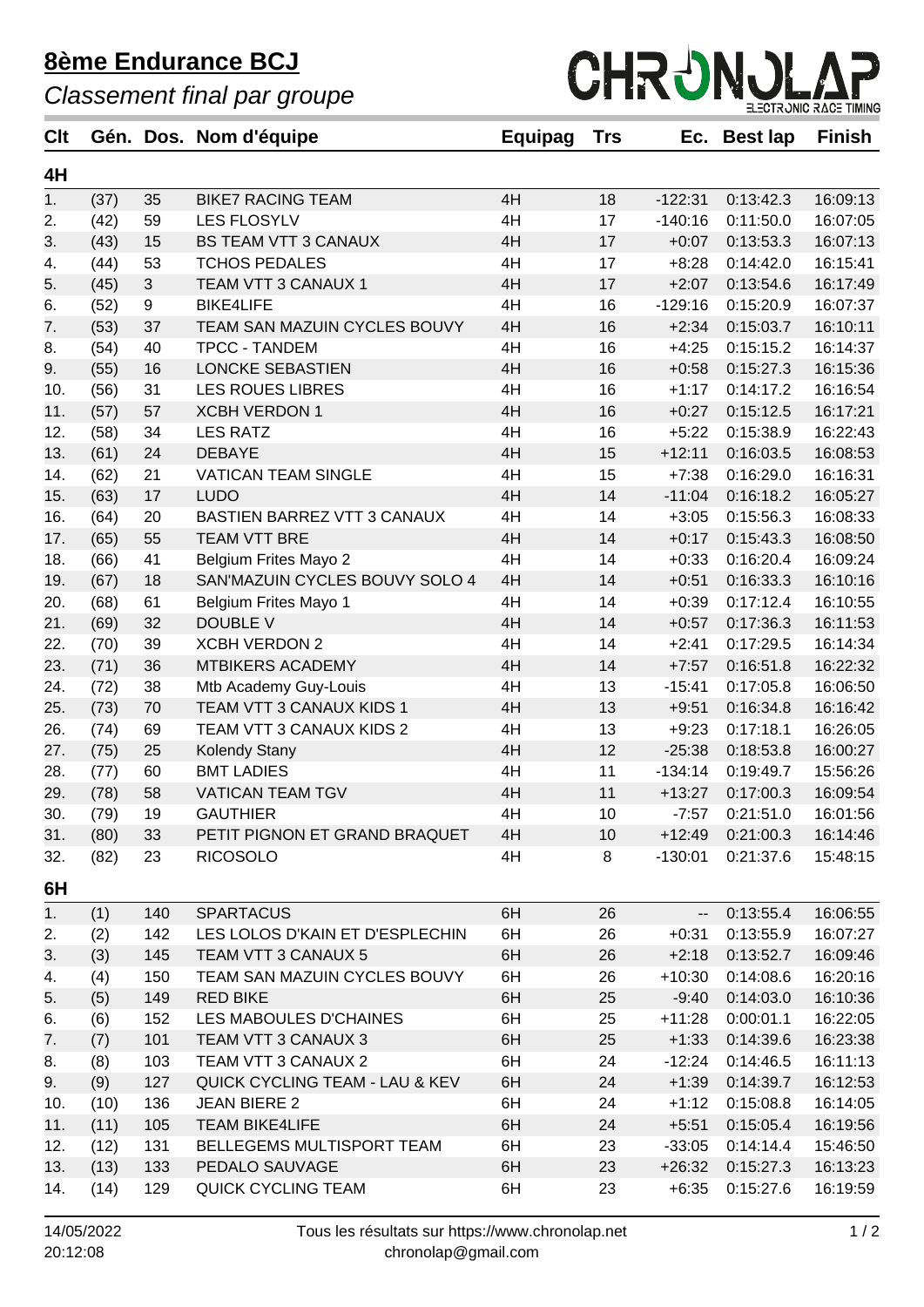## **8ème Endurance BCJ**

*Classement final par groupe*



| <b>Clt</b> |      |                | Gén. Dos. Nom d'équipe                    | Equipag | <b>Trs</b> |           | Ec. Best lap       | <b>Finish</b> |
|------------|------|----------------|-------------------------------------------|---------|------------|-----------|--------------------|---------------|
| 4H         |      |                |                                           |         |            |           |                    |               |
| 1.         | (37) | 35             | <b>BIKE7 RACING TEAM</b>                  | 4H      | 18         | $-122:31$ | 0:13:42.3          | 16:09:13      |
| 2.         | (42) | 59             | <b>LES FLOSYLV</b>                        | 4H      | 17         | $-140:16$ | 0:11:50.0          | 16:07:05      |
| 3.         | (43) | 15             | <b>BS TEAM VTT 3 CANAUX</b>               | 4H      | 17         | $+0:07$   | 0:13:53.3          | 16:07:13      |
| 4.         | (44) | 53             | <b>TCHOS PEDALES</b>                      | 4H      | 17         | $+8:28$   | 0:14:42.0          | 16:15:41      |
| 5.         | (45) | $\mathfrak{S}$ | TEAM VTT 3 CANAUX 1                       | 4H      | 17         | $+2:07$   | 0:13:54.6          | 16:17:49      |
| 6.         | (52) | 9              | <b>BIKE4LIFE</b>                          | 4H      | 16         | $-129:16$ | 0:15:20.9          | 16:07:37      |
| 7.         | (53) | 37             | TEAM SAN MAZUIN CYCLES BOUVY              | 4H      | 16         | $+2:34$   | 0:15:03.7          | 16:10:11      |
| 8.         | (54) | 40             | <b>TPCC - TANDEM</b>                      | 4H      | 16         | $+4:25$   | 0:15:15.2          | 16:14:37      |
| 9.         | (55) | 16             | LONCKE SEBASTIEN                          | 4H      | 16         | $+0:58$   | 0:15:27.3          | 16:15:36      |
| 10.        | (56) | 31             | <b>LES ROUES LIBRES</b>                   | 4H      | 16         | $+1:17$   | 0:14:17.2          | 16:16:54      |
| 11.        | (57) | 57             | <b>XCBH VERDON 1</b>                      | 4H      | 16         | $+0:27$   | 0:15:12.5          | 16:17:21      |
| 12.        | (58) | 34             | <b>LES RATZ</b>                           | 4H      | 16         | $+5:22$   | 0:15:38.9          | 16:22:43      |
| 13.        | (61) | 24             | <b>DEBAYE</b>                             | 4H      | 15         | $+12:11$  | 0:16:03.5          | 16:08:53      |
| 14.        | (62) | 21             | <b>VATICAN TEAM SINGLE</b>                | 4H      | 15         | $+7:38$   | 0:16:29.0          | 16:16:31      |
| 15.        | (63) | 17             | <b>LUDO</b>                               | 4H      | 14         | $-11:04$  | 0:16:18.2          | 16:05:27      |
| 16.        | (64) | 20             | BASTIEN BARREZ VTT 3 CANAUX               | 4H      | 14         | $+3:05$   | 0:15:56.3          | 16:08:33      |
| 17.        | (65) | 55             | TEAM VTT BRE                              | 4H      | 14         | $+0:17$   | 0:15:43.3          | 16:08:50      |
| 18.        | (66) | 41             | Belgium Frites Mayo 2                     | 4H      | 14         | $+0:33$   | 0:16:20.4          | 16:09:24      |
| 19.        | (67) | 18             | SAN'MAZUIN CYCLES BOUVY SOLO 4            | 4H      | 14         | $+0:51$   | 0:16:33.3          | 16:10:16      |
| 20.        | (68) | 61             | Belgium Frites Mayo 1                     | 4H      | 14         | $+0:39$   | 0:17:12.4          | 16:10:55      |
| 21.        | (69) | 32             | <b>DOUBLE V</b>                           | 4H      | 14         | $+0:57$   | 0:17:36.3          | 16:11:53      |
| 22.        | (70) | 39             | <b>XCBH VERDON 2</b>                      | 4H      | 14         | $+2:41$   | 0:17:29.5          | 16:14:34      |
| 23.        | (71) | 36             | MTBIKERS ACADEMY                          | 4H      | 14         | $+7:57$   | 0:16:51.8          | 16:22:32      |
| 24.        | (72) | 38             | Mtb Academy Guy-Louis                     | 4H      | 13         | $-15:41$  | 0:17:05.8          | 16:06:50      |
| 25.        | (73) | 70             | TEAM VTT 3 CANAUX KIDS 1                  | 4H      | 13         | $+9:51$   | 0:16:34.8          | 16:16:42      |
| 26.        | (74) | 69             | TEAM VTT 3 CANAUX KIDS 2                  | 4H      | 13         | $+9:23$   | 0:17:18.1          | 16:26:05      |
| 27.        | (75) | 25             | <b>Kolendy Stany</b>                      | 4H      | 12         | $-25:38$  | 0:18:53.8          | 16:00:27      |
| 28.        | (77) | 60             | <b>BMT LADIES</b>                         | 4H      | 11         | $-134:14$ | 0:19:49.7          | 15:56:26      |
| 29.        | (78) | 58             | <b>VATICAN TEAM TGV</b>                   | 4H      | 11         | $+13:27$  | 0:17:00.3          | 16:09:54      |
| 30.        | (79) | 19             | <b>GAUTHIER</b>                           | 4H      | 10         | $-7:57$   | 0:21:51.0          | 16:01:56      |
| 31.        | (80) | 33             | PETIT PIGNON ET GRAND BRAQUET             | 4H      | 10         |           | $+12:49$ 0:21:00.3 | 16:14:46      |
| 32.        | (82) | 23             | <b>RICOSOLO</b>                           | 4H      | 8          | $-130:01$ | 0:21:37.6          | 15:48:15      |
| 6H         |      |                |                                           |         |            |           |                    |               |
| 1.         | (1)  | 140            | <b>SPARTACUS</b>                          | 6H      | 26         | н.        | 0:13:55.4          | 16:06:55      |
| 2.         | (2)  | 142            | LES LOLOS D'KAIN ET D'ESPLECHIN           | 6H      | 26         | $+0:31$   | 0:13:55.9          | 16:07:27      |
| 3.         | (3)  | 145            | TEAM VTT 3 CANAUX 5                       | 6H      | 26         | $+2:18$   | 0:13:52.7          | 16:09:46      |
| 4.         | (4)  | 150            | TEAM SAN MAZUIN CYCLES BOUVY              | 6H      | 26         | $+10:30$  | 0:14:08.6          | 16:20:16      |
| 5.         | (5)  | 149            | <b>RED BIKE</b>                           | 6H      | 25         | $-9:40$   | 0:14:03.0          | 16:10:36      |
| 6.         | (6)  | 152            | LES MABOULES D'CHAINES                    | 6H      | 25         | $+11:28$  | 0:00:01.1          | 16:22:05      |
| 7.         | (7)  | 101            | TEAM VTT 3 CANAUX 3                       | 6H      | 25         | $+1:33$   | 0:14:39.6          | 16:23:38      |
| 8.         | (8)  | 103            | TEAM VTT 3 CANAUX 2                       | 6H      | 24         | $-12:24$  | 0:14:46.5          | 16:11:13      |
| 9.         | (9)  | 127            | <b>QUICK CYCLING TEAM - LAU &amp; KEV</b> | 6H      | 24         | $+1:39$   | 0:14:39.7          | 16:12:53      |
| 10.        | (10) | 136            | <b>JEAN BIERE 2</b>                       | 6H      | 24         | $+1:12$   | 0:15:08.8          | 16:14:05      |
| 11.        | (11) | 105            | <b>TEAM BIKE4LIFE</b>                     | 6H      | 24         | $+5:51$   | 0:15:05.4          | 16:19:56      |
| 12.        | (12) | 131            | BELLEGEMS MULTISPORT TEAM                 | 6H      | 23         | $-33:05$  | 0:14:14.4          | 15:46:50      |
| 13.        | (13) | 133            | PEDALO SAUVAGE                            | 6H      | 23         | $+26:32$  | 0:15:27.3          | 16:13:23      |
| 14.        | (14) | 129            | QUICK CYCLING TEAM                        | 6H      | 23         | $+6:35$   | 0:15:27.6          | 16:19:59      |